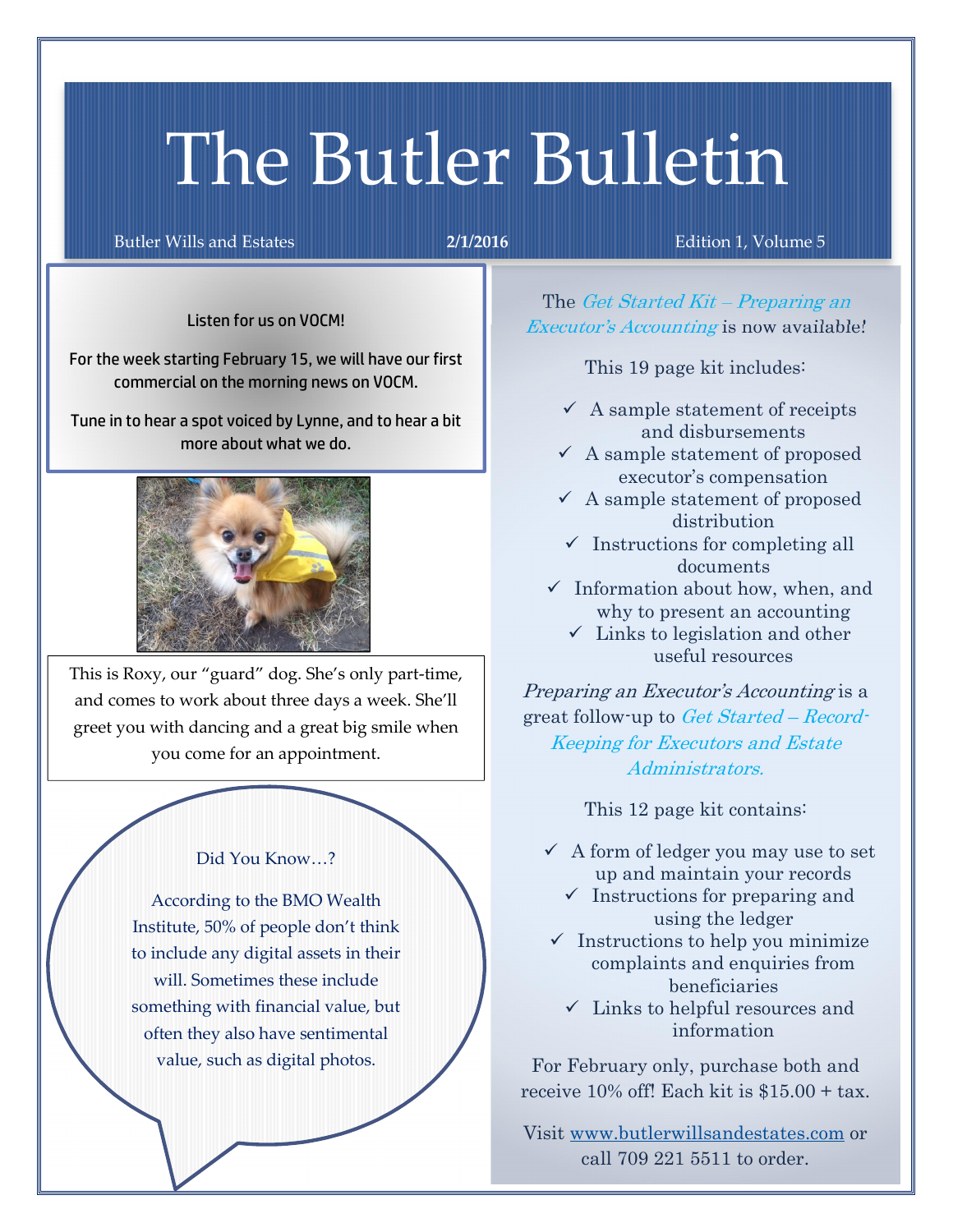# The Butler Bulletin

Butler Wills and Estates 2/1/2016 Edition 1, Volume 5

Listen for us on VOCM!

For the week starting February 15, we will have our first commercial on the morning news on VOCM.

Tune in to hear a spot voiced by Lynne, and to hear a bit more about what we do.



This is Roxy, our "guard" dog. She's only part-time, and comes to work about three days a week. She'll greet you with dancing and a great big smile when you come for an appointment.

## Did You Know…?

According to the BMO Wealth Institute, 50% of people don't think to include any digital assets in their will. Sometimes these include something with financial value, but often they also have sentimental value, such as digital photos.

The Get Started Kit – Preparing an Executor's *Accounting* is now available!

This 19 page kit includes:

- $\checkmark$  A sample statement of receipts and disbursements
- $\checkmark$  A sample statement of proposed executor's compensation
- $\checkmark$  A sample statement of proposed distribution
- $\checkmark$  Instructions for completing all documents
- $\checkmark$  Information about how, when, and why to present an accounting
	- $\checkmark$  Links to legislation and other useful resources

Preparing an Executor's Accounting is a great follow-up to Get Started – Record-Keeping for Executors and Estate Administrators.

This 12 page kit contains:

- $\checkmark$  A form of ledger you may use to set up and maintain your records
	- $\checkmark$  Instructions for preparing and using the ledger
- $\checkmark$  Instructions to help you minimize complaints and enquiries from beneficiaries
	- $\checkmark$  Links to helpful resources and information

For February only, purchase both and receive 10% off! Each kit is \$15.00 + tax.

Visit www.butlerwillsandestates.com or call 709 221 5511 to order.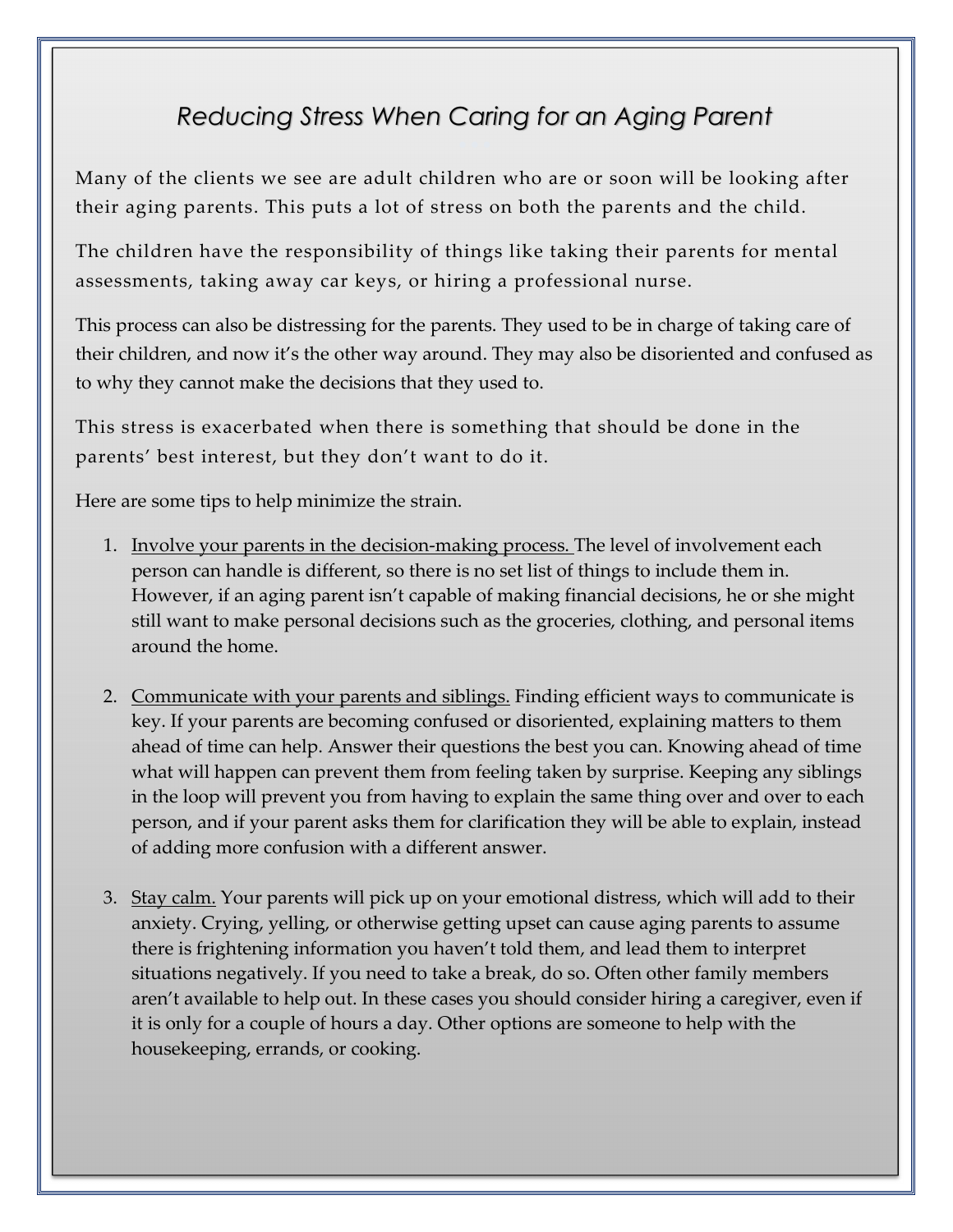## *Reducing Stress When Caring for an Aging Parent*

Many of the clients we see are adult children who are or soon will be looking after their aging parents. This puts a lot of stress on both the parents and the child.

The children have the responsibility of things like taking their parents for mental assessments, taking away car keys, or hiring a professional nurse.

This process can also be distressing for the parents. They used to be in charge of taking care of their children, and now it's the other way around. They may also be disoriented and confused as to why they cannot make the decisions that they used to.

This stress is exacerbated when there is something that should be done in the parents' best interest, but they don't want to do it.

Here are some tips to help minimize the strain.

- 1. Involve your parents in the decision-making process. The level of involvement each person can handle is different, so there is no set list of things to include them in. However, if an aging parent isn't capable of making financial decisions, he or she might still want to make personal decisions such as the groceries, clothing, and personal items around the home.
- 2. Communicate with your parents and siblings. Finding efficient ways to communicate is key. If your parents are becoming confused or disoriented, explaining matters to them ahead of time can help. Answer their questions the best you can. Knowing ahead of time what will happen can prevent them from feeling taken by surprise. Keeping any siblings in the loop will prevent you from having to explain the same thing over and over to each person, and if your parent asks them for clarification they will be able to explain, instead of adding more confusion with a different answer.
- 3. Stay calm. Your parents will pick up on your emotional distress, which will add to their anxiety. Crying, yelling, or otherwise getting upset can cause aging parents to assume there is frightening information you haven't told them, and lead them to interpret situations negatively. If you need to take a break, do so. Often other family members aren't available to help out. In these cases you should consider hiring a caregiver, even if it is only for a couple of hours a day. Other options are someone to help with the housekeeping, errands, or cooking.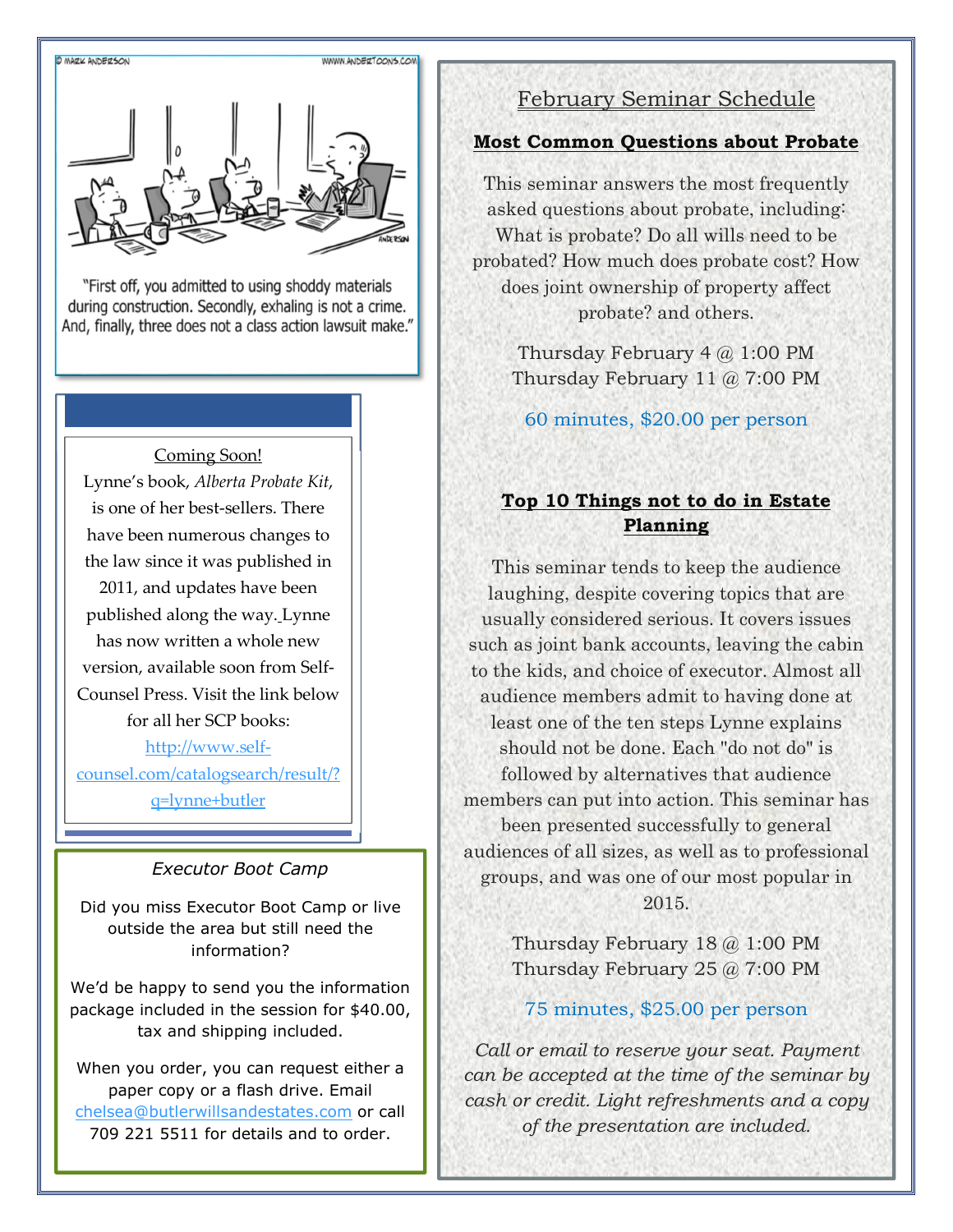

"First off, you admitted to using shoddy materials during construction. Secondly, exhaling is not a crime. And, finally, three does not a class action lawsuit make."

## Coming Soon! Lynne's book, *Alberta Probate Kit*, is one of her best-sellers. There have been numerous changes to the law since it was published in 2011, and updates have been published along the way. Lynne has now written a whole new version, available soon from Self-Counsel Press. Visit the link below for all her SCP books: http://www.selfcounsel.com/catalogsearch/result/?

q=lynne+butler

## *Executor Boot Camp*

Did you miss Executor Boot Camp or live outside the area but still need the information?

We'd be happy to send you the information package included in the session for \$40.00, tax and shipping included.

When you order, you can request either a paper copy or a flash drive. Email chelsea@butlerwillsandestates.com or call 709 221 5511 for details and to order.

## February Seminar Schedule

## Most Common Questions about Probate

This seminar answers the most frequently asked questions about probate, including: What is probate? Do all wills need to be probated? How much does probate cost? How does joint ownership of property affect probate? and others.

> Thursday February 4 @ 1:00 PM Thursday February 11 @ 7:00 PM

60 minutes, \$20.00 per person

## Top 10 Things not to do in Estate Planning

This seminar tends to keep the audience laughing, despite covering topics that are usually considered serious. It covers issues such as joint bank accounts, leaving the cabin to the kids, and choice of executor. Almost all audience members admit to having done at least one of the ten steps Lynne explains should not be done. Each "do not do" is followed by alternatives that audience members can put into action. This seminar has been presented successfully to general audiences of all sizes, as well as to professional groups, and was one of our most popular in 2015.

> Thursday February 18 @ 1:00 PM Thursday February 25 @ 7:00 PM

## 75 minutes, \$25.00 per person

*Call or email to reserve your seat. Payment can be accepted at the time of the seminar by cash or credit. Light refreshments and a copy of the presentation are included.*